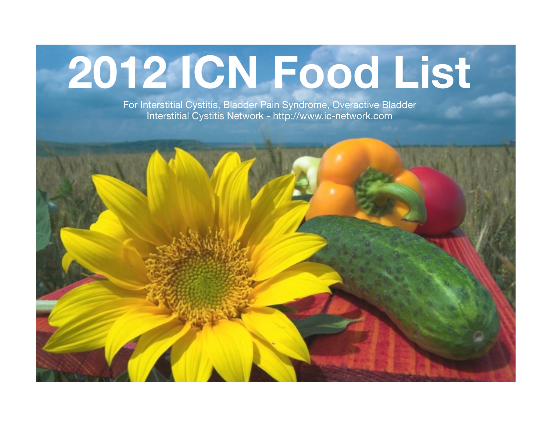# **2012 ICN Food List**

For Interstitial Cystitis, Bladder Pain Syndrome, Overactive Bladder Interstitial Cystitis Network - http://www.ic-network.com

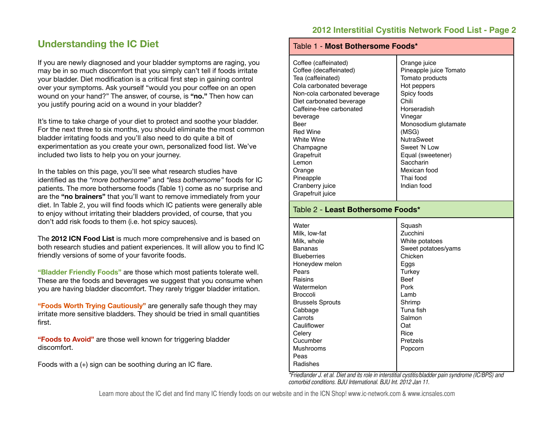## **Understanding the IC Diet**

If you are newly diagnosed and your bladder symptoms are raging, you may be in so much discomfort that you simply can't tell if foods irritate your bladder. Diet modification is a critical first step in gaining control over your symptoms. Ask yourself "would you pour coffee on an open wound on your hand?" The answer, of course, is **"no."** Then how can you justify pouring acid on a wound in your bladder?

It's time to take charge of your diet to protect and soothe your bladder. For the next three to six months, you should eliminate the most common bladder irritating foods and you'll also need to do quite a bit of experimentation as you create your own, personalized food list. We've included two lists to help you on your journey.

In the tables on this page, you'll see what research studies have identified as the *"more bothersome"* and *"less bothersome"* foods for IC patients. The more bothersome foods (Table 1) come as no surprise and are the **"no brainers"** that you'll want to remove immediately from your diet. In Table 2, you will find foods which IC patients were generally able to enjoy without irritating their bladders provided, of course, that you don't add risk foods to them (i.e. hot spicy sauces).

The **2012 ICN Food List** is much more comprehensive and is based on both research studies and patient experiences. It will allow you to find IC friendly versions of some of your favorite foods.

**"Bladder Friendly Foods"** are those which most patients tolerate well. These are the foods and beverages we suggest that you consume when you are having bladder discomfort. They rarely trigger bladder irritation.

**"Foods Worth Trying Cautiously"** are generally safe though they may irritate more sensitive bladders. They should be tried in small quantities first.

**"Foods to Avoid"** are those well known for triggering bladder discomfort.

Foods with a (+) sign can be soothing during an IC flare.

#### Table 1 - **Most Bothersome Foods\*** Coffee (caffeinated) Coffee (decaffeinated) Tea (caffeinated) Cola carbonated beverage Non-cola carbonated beverage Diet carbonated beverage Caffeine-free carbonated beverage Beer Red Wine White Wine Champagne **Grapefruit** Lemon Orange **Pineapple** Cranberry juice Grapefruit juice Orange juice Pineapple juice Tomato Tomato products Hot peppers Spicy foods Chili Horseradish Vinegar Monosodium glutamate (MSG) **NutraSweet** Sweet 'N Low Equal (sweetener) **Saccharin** Mexican food Thai food Indian food Table 2 - **Least Bothersome Foods\* Water** Milk, low-fat Milk, whole Bananas **Blueberries** Honeydew melon Pears Raisins **Watermelon** Broccoli Brussels Sprouts Cabbage **Carrots** Squash Zucchini White potatoes Sweet potatoes/yams Chicken Eggs **Turkey** Beef Pork Lamb Shrimp Tuna fish Salmon

*\*Friedlander J. et al. Diet and its role in interstitial cystitis/bladder pain syndrome (IC/BPS) and comorbid conditions. BJU International. BJU Int. 2012 Jan 11.*

Oat Rice Pretzels Popcorn

Learn more about the IC diet and find many IC friendly foods on our website and in the ICN Shop! www.ic-network.com & www.icnsales.com

**Cauliflower Celerv** Cucumber Mushrooms Peas Radishes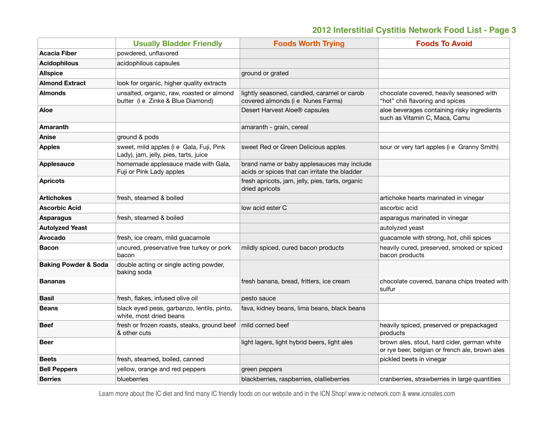|                                 | <b>Usually Bladder Friendly</b>                                                   | <b>Foods Worth Trying</b>                                                                   | <b>Foods To Avoid</b>                                                                         |
|---------------------------------|-----------------------------------------------------------------------------------|---------------------------------------------------------------------------------------------|-----------------------------------------------------------------------------------------------|
| <b>Acacia Fiber</b>             | powdered, unflavored                                                              |                                                                                             |                                                                                               |
| <b>Acidophilous</b>             | acidophilous capsules                                                             |                                                                                             |                                                                                               |
| <b>Allspice</b>                 |                                                                                   | ground or grated                                                                            |                                                                                               |
| <b>Almond Extract</b>           | look for organic, higher quality extracts                                         |                                                                                             |                                                                                               |
| <b>Almonds</b>                  | unsalted, organic, raw, roasted or almond<br>butter (i e Zinke & Blue Diamond)    | lightly seasoned, candied, caramel or carob<br>covered almonds (i e Nunes Farms)            | chocolate covered, heavily seasoned with<br>"hot" chili flavoring and spices                  |
| Aloe                            |                                                                                   | Desert Harvest Aloe® capsules                                                               | aloe beverages containing risky ingredients<br>such as Vitamin C, Maca, Camu                  |
| Amaranth                        |                                                                                   | amaranth - grain, cereal                                                                    |                                                                                               |
| Anise                           | ground & pods                                                                     |                                                                                             |                                                                                               |
| <b>Apples</b>                   | sweet, mild apples (i e Gala, Fuji, Pink<br>Lady), jam, jelly, pies, tarts, juice | sweet Red or Green Delicious apples                                                         | sour or very tart apples (i e Granny Smith)                                                   |
| <b>Applesauce</b>               | homemade applesauce made with Gala,<br>Fuji or Pink Lady apples                   | brand name or baby applesauces may include<br>acids or spices that can irritate the bladder |                                                                                               |
| <b>Apricots</b>                 |                                                                                   | fresh apricots, jam, jelly, pies, tarts, organic<br>dried apricots                          |                                                                                               |
| <b>Artichokes</b>               | fresh, steamed & boiled                                                           |                                                                                             | artichoke hearts marinated in vinegar                                                         |
| <b>Ascorbic Acid</b>            |                                                                                   | low acid ester C                                                                            | ascorbic acid                                                                                 |
| <b>Asparagus</b>                | fresh, steamed & boiled                                                           |                                                                                             | asparagus marinated in vinegar                                                                |
| <b>Autolyzed Yeast</b>          |                                                                                   |                                                                                             | autolyzed yeast                                                                               |
| Avocado                         | fresh, ice cream, mild guacamole                                                  |                                                                                             | guacamole with strong, hot, chili spices                                                      |
| <b>Bacon</b>                    | uncured, preservative free turkey or pork<br>bacon                                | mildly spiced, cured bacon products                                                         | heavily cured, preserved, smoked or spiced<br>bacon products                                  |
| <b>Baking Powder &amp; Soda</b> | double acting or single acting powder,<br>baking soda                             |                                                                                             |                                                                                               |
| Bananas                         |                                                                                   | fresh banana, bread, fritters, ice cream                                                    | chocolate covered, banana chips treated with<br>sulfur                                        |
| <b>Basil</b>                    | fresh, flakes, infused olive oil                                                  | pesto sauce                                                                                 |                                                                                               |
| Beans                           | black eyed peas, garbanzo, lentils, pinto,<br>white, most dried beans             | fava, kidney beans, lima beans, black beans                                                 |                                                                                               |
| Beef                            | fresh or frozen roasts, steaks, ground beef<br>& other cuts                       | mild corned beef                                                                            | heavily spiced, preserved or prepackaged<br>products                                          |
| <b>Beer</b>                     |                                                                                   | light lagers, light hybrid beers, light ales                                                | brown ales, stout, hard cider, german white<br>or rye beer, belgian or french ale, brown ales |
| <b>Beets</b>                    | fresh, steamed, boiled, canned                                                    |                                                                                             | pickled beets in vinegar                                                                      |
| <b>Bell Peppers</b>             | yellow, orange and red peppers                                                    | green peppers                                                                               |                                                                                               |
| <b>Berries</b>                  | blueberries                                                                       | blackberries, raspberries, olallieberries                                                   | cranberries, strawberries in large quantities                                                 |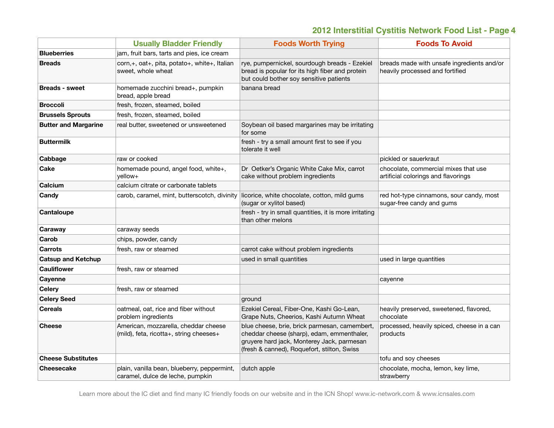|                             | <b>Usually Bladder Friendly</b>                                                 | <b>Foods Worth Trying</b>                                                                                                                                                                | <b>Foods To Avoid</b>                                                         |
|-----------------------------|---------------------------------------------------------------------------------|------------------------------------------------------------------------------------------------------------------------------------------------------------------------------------------|-------------------------------------------------------------------------------|
| <b>Blueberries</b>          | jam, fruit bars, tarts and pies, ice cream                                      |                                                                                                                                                                                          |                                                                               |
| <b>Breads</b>               | corn,+, oat+, pita, potato+, white+, Italian<br>sweet, whole wheat              | rye, pumpernickel, sourdough breads - Ezekiel<br>bread is popular for its high fiber and protein<br>but could bother soy sensitive patients                                              | breads made with unsafe ingredients and/or<br>heavily processed and fortified |
| <b>Breads - sweet</b>       | homemade zucchini bread+, pumpkin<br>bread, apple bread                         | banana bread                                                                                                                                                                             |                                                                               |
| <b>Broccoli</b>             | fresh, frozen, steamed, boiled                                                  |                                                                                                                                                                                          |                                                                               |
| <b>Brussels Sprouts</b>     | fresh, frozen, steamed, boiled                                                  |                                                                                                                                                                                          |                                                                               |
| <b>Butter and Margarine</b> | real butter, sweetened or unsweetened                                           | Soybean oil based margarines may be irritating<br>for some                                                                                                                               |                                                                               |
| <b>Buttermilk</b>           |                                                                                 | fresh - try a small amount first to see if you<br>tolerate it well                                                                                                                       |                                                                               |
| Cabbage                     | raw or cooked                                                                   |                                                                                                                                                                                          | pickled or sauerkraut                                                         |
| Cake                        | homemade pound, angel food, white+,<br>yellow+                                  | Dr Oetker's Organic White Cake Mix, carrot<br>cake without problem ingredients                                                                                                           | chocolate, commercial mixes that use<br>artificial colorings and flavorings   |
| Calcium                     | calcium citrate or carbonate tablets                                            |                                                                                                                                                                                          |                                                                               |
| Candy                       | carob, caramel, mint, butterscotch, divinity                                    | licorice, white chocolate, cotton, mild gums<br>(sugar or xylitol based)                                                                                                                 | red hot-type cinnamons, sour candy, most<br>sugar-free candy and gums         |
| Cantaloupe                  |                                                                                 | fresh - try in small quantities, it is more irritating<br>than other melons                                                                                                              |                                                                               |
| Caraway                     | caraway seeds                                                                   |                                                                                                                                                                                          |                                                                               |
| Carob                       | chips, powder, candy                                                            |                                                                                                                                                                                          |                                                                               |
| <b>Carrots</b>              | fresh, raw or steamed                                                           | carrot cake without problem ingredients                                                                                                                                                  |                                                                               |
| <b>Catsup and Ketchup</b>   |                                                                                 | used in small quantities                                                                                                                                                                 | used in large quantities                                                      |
| <b>Cauliflower</b>          | fresh, raw or steamed                                                           |                                                                                                                                                                                          |                                                                               |
| Cayenne                     |                                                                                 |                                                                                                                                                                                          | cayenne                                                                       |
| <b>Celery</b>               | fresh, raw or steamed                                                           |                                                                                                                                                                                          |                                                                               |
| <b>Celery Seed</b>          |                                                                                 | ground                                                                                                                                                                                   |                                                                               |
| <b>Cereals</b>              | oatmeal, oat, rice and fiber without<br>problem ingredients                     | Ezekiel Cereal, Fiber-One, Kashi Go-Lean,<br>Grape Nuts, Cheerios, Kashi Autumn Wheat                                                                                                    | heavily preserved, sweetened, flavored,<br>chocolate                          |
| <b>Cheese</b>               | American, mozzarella, cheddar cheese<br>(mild), feta, ricotta+, string cheeses+ | blue cheese, brie, brick parmesan, camembert,<br>cheddar cheese (sharp), edam, emmenthaler,<br>gruyere hard jack, Monterey Jack, parmesan<br>(fresh & canned), Roquefort, stilton, Swiss | processed, heavily spiced, cheese in a can<br>products                        |
| <b>Cheese Substitutes</b>   |                                                                                 |                                                                                                                                                                                          | tofu and soy cheeses                                                          |
| <b>Cheesecake</b>           | plain, vanilla bean, blueberry, peppermint,<br>caramel, dulce de leche, pumpkin | dutch apple                                                                                                                                                                              | chocolate, mocha, lemon, key lime,<br>strawberry                              |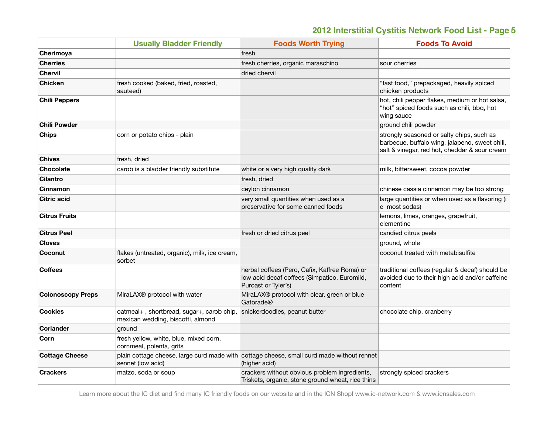|                          | <b>Usually Bladder Friendly</b>                                                | <b>Foods Worth Trying</b>                                                                                            | <b>Foods To Avoid</b>                                                                                                                        |
|--------------------------|--------------------------------------------------------------------------------|----------------------------------------------------------------------------------------------------------------------|----------------------------------------------------------------------------------------------------------------------------------------------|
| Cherimoya                |                                                                                | fresh                                                                                                                |                                                                                                                                              |
| <b>Cherries</b>          |                                                                                | fresh cherries, organic maraschino                                                                                   | sour cherries                                                                                                                                |
| <b>Chervil</b>           |                                                                                | dried chervil                                                                                                        |                                                                                                                                              |
| <b>Chicken</b>           | fresh cooked (baked, fried, roasted,<br>sauteed)                               |                                                                                                                      | "fast food," prepackaged, heavily spiced<br>chicken products                                                                                 |
| <b>Chili Peppers</b>     |                                                                                |                                                                                                                      | hot, chili pepper flakes, medium or hot salsa,<br>"hot" spiced foods such as chili, bbq, hot<br>wing sauce                                   |
| <b>Chili Powder</b>      |                                                                                |                                                                                                                      | ground chili powder                                                                                                                          |
| Chips                    | corn or potato chips - plain                                                   |                                                                                                                      | strongly seasoned or salty chips, such as<br>barbecue, buffalo wing, jalapeno, sweet chili,<br>salt & vinegar, red hot, cheddar & sour cream |
| <b>Chives</b>            | fresh, dried                                                                   |                                                                                                                      |                                                                                                                                              |
| <b>Chocolate</b>         | carob is a bladder friendly substitute                                         | white or a very high quality dark                                                                                    | milk, bittersweet, cocoa powder                                                                                                              |
| <b>Cilantro</b>          |                                                                                | fresh, dried                                                                                                         |                                                                                                                                              |
| Cinnamon                 |                                                                                | ceylon cinnamon                                                                                                      | chinese cassia cinnamon may be too strong                                                                                                    |
| <b>Citric acid</b>       |                                                                                | very small quantities when used as a<br>preservative for some canned foods                                           | large quantities or when used as a flavoring (i<br>e most sodas)                                                                             |
| <b>Citrus Fruits</b>     |                                                                                |                                                                                                                      | lemons, limes, oranges, grapefruit,<br>clementine                                                                                            |
| <b>Citrus Peel</b>       |                                                                                | fresh or dried citrus peel                                                                                           | candied citrus peels                                                                                                                         |
| <b>Cloves</b>            |                                                                                |                                                                                                                      | ground, whole                                                                                                                                |
| Coconut                  | flakes (untreated, organic), milk, ice cream,<br>sorbet                        |                                                                                                                      | coconut treated with metabisulfite                                                                                                           |
| <b>Coffees</b>           |                                                                                | herbal coffees (Pero, Cafix, Kaffree Roma) or<br>low acid decaf coffees (Simpatico, Euromild,<br>Puroast or Tyler's) | traditional coffees (regular & decaf) should be<br>avoided due to their high acid and/or caffeine<br>content                                 |
| <b>Colonoscopy Preps</b> | MiraLAX® protocol with water                                                   | MiraLAX® protocol with clear, green or blue<br>Gatorade®                                                             |                                                                                                                                              |
| <b>Cookies</b>           | oatmeal+, shortbread, sugar+, carob chip,<br>mexican wedding, biscotti, almond | snickerdoodles, peanut butter                                                                                        | chocolate chip, cranberry                                                                                                                    |
| <b>Coriander</b>         | ground                                                                         |                                                                                                                      |                                                                                                                                              |
| Corn                     | fresh yellow, white, blue, mixed corn,<br>cornmeal, polenta, grits             |                                                                                                                      |                                                                                                                                              |
| <b>Cottage Cheese</b>    | sennet (low acid)                                                              | plain cottage cheese, large curd made with cottage cheese, small curd made without rennet<br>(higher acid)           |                                                                                                                                              |
| <b>Crackers</b>          | matzo, soda or soup                                                            | crackers without obvious problem ingredients,<br>Triskets, organic, stone ground wheat, rice thins                   | strongly spiced crackers                                                                                                                     |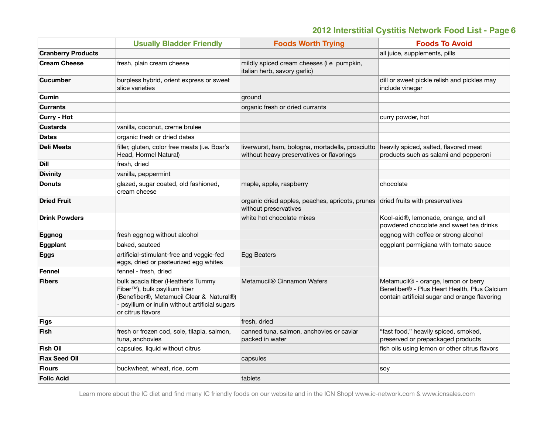|                           | <b>Usually Bladder Friendly</b>                                                                                                                                                                  | <b>Foods Worth Trying</b>                                                                     | <b>Foods To Avoid</b>                                                                                                                            |
|---------------------------|--------------------------------------------------------------------------------------------------------------------------------------------------------------------------------------------------|-----------------------------------------------------------------------------------------------|--------------------------------------------------------------------------------------------------------------------------------------------------|
| <b>Cranberry Products</b> |                                                                                                                                                                                                  |                                                                                               | all juice, supplements, pills                                                                                                                    |
| <b>Cream Cheese</b>       | fresh, plain cream cheese                                                                                                                                                                        | mildly spiced cream cheeses (i e pumpkin,<br>italian herb, savory garlic)                     |                                                                                                                                                  |
| <b>Cucumber</b>           | burpless hybrid, orient express or sweet<br>slice varieties                                                                                                                                      |                                                                                               | dill or sweet pickle relish and pickles may<br>include vinegar                                                                                   |
| Cumin                     |                                                                                                                                                                                                  | ground                                                                                        |                                                                                                                                                  |
| <b>Currants</b>           |                                                                                                                                                                                                  | organic fresh or dried currants                                                               |                                                                                                                                                  |
| <b>Curry - Hot</b>        |                                                                                                                                                                                                  |                                                                                               | curry powder, hot                                                                                                                                |
| <b>Custards</b>           | vanilla, coconut, creme brulee                                                                                                                                                                   |                                                                                               |                                                                                                                                                  |
| <b>Dates</b>              | organic fresh or dried dates                                                                                                                                                                     |                                                                                               |                                                                                                                                                  |
| <b>Deli Meats</b>         | filler, gluten, color free meats (i.e. Boar's<br>Head, Hormel Natural)                                                                                                                           | liverwurst, ham, bologna, mortadella, prosciutto<br>without heavy preservatives or flavorings | heavily spiced, salted, flavored meat<br>products such as salami and pepperoni                                                                   |
| Dill                      | fresh, dried                                                                                                                                                                                     |                                                                                               |                                                                                                                                                  |
| <b>Divinity</b>           | vanilla, peppermint                                                                                                                                                                              |                                                                                               |                                                                                                                                                  |
| <b>Donuts</b>             | glazed, sugar coated, old fashioned,<br>cream cheese                                                                                                                                             | maple, apple, raspberry                                                                       | chocolate                                                                                                                                        |
| <b>Dried Fruit</b>        |                                                                                                                                                                                                  | organic dried apples, peaches, apricots, prunes<br>without preservatives                      | dried fruits with preservatives                                                                                                                  |
| <b>Drink Powders</b>      |                                                                                                                                                                                                  | white hot chocolate mixes                                                                     | Kool-aid®, lemonade, orange, and all<br>powdered chocolate and sweet tea drinks                                                                  |
| Eggnog                    | fresh eggnog without alcohol                                                                                                                                                                     |                                                                                               | eggnog with coffee or strong alcohol                                                                                                             |
| Eggplant                  | baked, sauteed                                                                                                                                                                                   |                                                                                               | eggplant parmigiana with tomato sauce                                                                                                            |
| Eggs                      | artificial-stimulant-free and veggie-fed<br>eggs, dried or pasteurized egg whites                                                                                                                | <b>Egg Beaters</b>                                                                            |                                                                                                                                                  |
| <b>Fennel</b>             | fennel - fresh, dried                                                                                                                                                                            |                                                                                               |                                                                                                                                                  |
| <b>Fibers</b>             | bulk acacia fiber (Heather's Tummy<br>Fiber <sup>™</sup> ), bulk psyllium fiber<br>(Benefiber®, Metamucil Clear & Natural®)<br>psyllium or inulin without artificial sugars<br>or citrus flavors | Metamucil <sup>®</sup> Cinnamon Wafers                                                        | Metamucil <sup>®</sup> - orange, lemon or berry<br>Benefiber® - Plus Heart Health, Plus Calcium<br>contain artificial sugar and orange flavoring |
| <b>Figs</b>               |                                                                                                                                                                                                  | fresh, dried                                                                                  |                                                                                                                                                  |
| <b>Fish</b>               | fresh or frozen cod, sole, tilapia, salmon,<br>tuna, anchovies                                                                                                                                   | canned tuna, salmon, anchovies or caviar<br>packed in water                                   | "fast food," heavily spiced, smoked,<br>preserved or prepackaged products                                                                        |
| <b>Fish Oil</b>           | capsules, liquid without citrus                                                                                                                                                                  |                                                                                               | fish oils using lemon or other citrus flavors                                                                                                    |
| <b>Flax Seed Oil</b>      |                                                                                                                                                                                                  | capsules                                                                                      |                                                                                                                                                  |
| <b>Flours</b>             | buckwheat, wheat, rice, corn                                                                                                                                                                     |                                                                                               | soy                                                                                                                                              |
| <b>Folic Acid</b>         |                                                                                                                                                                                                  | tablets                                                                                       |                                                                                                                                                  |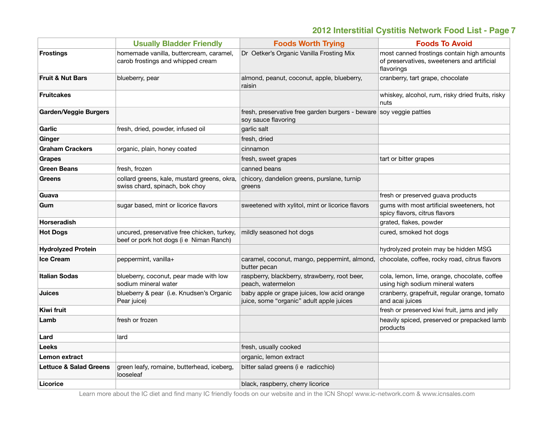|                                   | <b>Usually Bladder Friendly</b>                                                        | <b>Foods Worth Trying</b>                                                                  | <b>Foods To Avoid</b>                                                                                   |
|-----------------------------------|----------------------------------------------------------------------------------------|--------------------------------------------------------------------------------------------|---------------------------------------------------------------------------------------------------------|
| <b>Frostings</b>                  | homemade vanilla, buttercream, caramel,<br>carob frostings and whipped cream           | Dr Oetker's Organic Vanilla Frosting Mix                                                   | most canned frostings contain high amounts<br>of preservatives, sweeteners and artificial<br>flavorings |
| <b>Fruit &amp; Nut Bars</b>       | blueberry, pear                                                                        | almond, peanut, coconut, apple, blueberry,<br>raisin                                       | cranberry, tart grape, chocolate                                                                        |
| <b>Fruitcakes</b>                 |                                                                                        |                                                                                            | whiskey, alcohol, rum, risky dried fruits, risky<br>nuts                                                |
| <b>Garden/Veggie Burgers</b>      |                                                                                        | fresh, preservative free garden burgers - beware soy veggie patties<br>soy sauce flavoring |                                                                                                         |
| Garlic                            | fresh, dried, powder, infused oil                                                      | garlic salt                                                                                |                                                                                                         |
| Ginger                            |                                                                                        | fresh, dried                                                                               |                                                                                                         |
| <b>Graham Crackers</b>            | organic, plain, honey coated                                                           | cinnamon                                                                                   |                                                                                                         |
| <b>Grapes</b>                     |                                                                                        | fresh, sweet grapes                                                                        | tart or bitter grapes                                                                                   |
| <b>Green Beans</b>                | fresh, frozen                                                                          | canned beans                                                                               |                                                                                                         |
| <b>Greens</b>                     | collard greens, kale, mustard greens, okra,<br>swiss chard, spinach, bok choy          | chicory, dandelion greens, purslane, turnip<br>greens                                      |                                                                                                         |
| Guava                             |                                                                                        |                                                                                            | fresh or preserved guava products                                                                       |
| Gum                               | sugar based, mint or licorice flavors                                                  | sweetened with xylitol, mint or licorice flavors                                           | gums with most artificial sweeteners, hot<br>spicy flavors, citrus flavors                              |
| <b>Horseradish</b>                |                                                                                        |                                                                                            | grated, flakes, powder                                                                                  |
| <b>Hot Dogs</b>                   | uncured, preservative free chicken, turkey,<br>beef or pork hot dogs (i e Niman Ranch) | mildly seasoned hot dogs                                                                   | cured, smoked hot dogs                                                                                  |
| <b>Hydrolyzed Protein</b>         |                                                                                        |                                                                                            | hydrolyzed protein may be hidden MSG                                                                    |
| <b>Ice Cream</b>                  | peppermint, vanilla+                                                                   | caramel, coconut, mango, peppermint, almond,<br>butter pecan                               | chocolate, coffee, rocky road, citrus flavors                                                           |
| <b>Italian Sodas</b>              | blueberry, coconut, pear made with low<br>sodium mineral water                         | raspberry, blackberry, strawberry, root beer,<br>peach, watermelon                         | cola, lemon, lime, orange, chocolate, coffee<br>using high sodium mineral waters                        |
| <b>Juices</b>                     | blueberry & pear (i.e. Knudsen's Organic<br>Pear juice)                                | baby apple or grape juices, low acid orange<br>juice, some "organic" adult apple juices    | cranberry, grapefruit, regular orange, tomato<br>and acai juices                                        |
| Kiwi fruit                        |                                                                                        |                                                                                            | fresh or preserved kiwi fruit, jams and jelly                                                           |
| Lamb                              | fresh or frozen                                                                        |                                                                                            | heavily spiced, preserved or prepacked lamb<br>products                                                 |
| Lard                              | lard                                                                                   |                                                                                            |                                                                                                         |
| Leeks                             |                                                                                        | fresh, usually cooked                                                                      |                                                                                                         |
| Lemon extract                     |                                                                                        | organic, lemon extract                                                                     |                                                                                                         |
| <b>Lettuce &amp; Salad Greens</b> | green leafy, romaine, butterhead, iceberg,<br>looseleaf                                | bitter salad greens (i e radicchio)                                                        |                                                                                                         |
| Licorice                          |                                                                                        | black, raspberry, cherry licorice                                                          |                                                                                                         |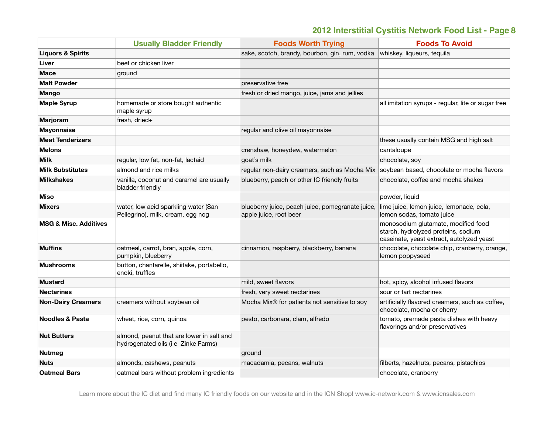|                                  | <b>Usually Bladder Friendly</b>                                                  | <b>Foods Worth Trying</b>                                                                 | <b>Foods To Avoid</b>                                                                                                   |
|----------------------------------|----------------------------------------------------------------------------------|-------------------------------------------------------------------------------------------|-------------------------------------------------------------------------------------------------------------------------|
| <b>Liquors &amp; Spirits</b>     |                                                                                  | sake, scotch, brandy, bourbon, gin, rum, vodka                                            | whiskey, liqueurs, tequila                                                                                              |
| Liver                            | beef or chicken liver                                                            |                                                                                           |                                                                                                                         |
| Mace                             | ground                                                                           |                                                                                           |                                                                                                                         |
| <b>Malt Powder</b>               |                                                                                  | preservative free                                                                         |                                                                                                                         |
| <b>Mango</b>                     |                                                                                  | fresh or dried mango, juice, jams and jellies                                             |                                                                                                                         |
| <b>Maple Syrup</b>               | homemade or store bought authentic<br>maple syrup                                |                                                                                           | all imitation syrups - regular, lite or sugar free                                                                      |
| Marjoram                         | fresh, dried+                                                                    |                                                                                           |                                                                                                                         |
| <b>Mayonnaise</b>                |                                                                                  | regular and olive oil mayonnaise                                                          |                                                                                                                         |
| <b>Meat Tenderizers</b>          |                                                                                  |                                                                                           | these usually contain MSG and high salt                                                                                 |
| <b>Melons</b>                    |                                                                                  | crenshaw, honeydew, watermelon                                                            | cantaloupe                                                                                                              |
| <b>Milk</b>                      | regular, low fat, non-fat, lactaid                                               | goat's milk                                                                               | chocolate, soy                                                                                                          |
| <b>Milk Substitutes</b>          | almond and rice milks                                                            | regular non-dairy creamers, such as Mocha Mix   soybean based, chocolate or mocha flavors |                                                                                                                         |
| <b>Milkshakes</b>                | vanilla, coconut and caramel are usually<br>bladder friendly                     | blueberry, peach or other IC friendly fruits                                              | chocolate, coffee and mocha shakes                                                                                      |
| Miso                             |                                                                                  |                                                                                           | powder, liquid                                                                                                          |
| <b>Mixers</b>                    | water, low acid sparkling water (San<br>Pellegrino), milk, cream, egg nog        | blueberry juice, peach juice, pomegranate juice,<br>apple juice, root beer                | lime juice, lemon juice, lemonade, cola,<br>lemon sodas, tomato juice                                                   |
| <b>MSG &amp; Misc. Additives</b> |                                                                                  |                                                                                           | monosodium glutamate, modified food<br>starch, hydrolyzed proteins, sodium<br>caseinate, yeast extract, autolyzed yeast |
| <b>Muffins</b>                   | oatmeal, carrot, bran, apple, corn,<br>pumpkin, blueberry                        | cinnamon, raspberry, blackberry, banana                                                   | chocolate, chocolate chip, cranberry, orange,<br>lemon poppyseed                                                        |
| <b>Mushrooms</b>                 | button, chantarelle, shiitake, portabello,<br>enoki, truffles                    |                                                                                           |                                                                                                                         |
| <b>Mustard</b>                   |                                                                                  | mild, sweet flavors                                                                       | hot, spicy, alcohol infused flavors                                                                                     |
| <b>Nectarines</b>                |                                                                                  | fresh, very sweet nectarines                                                              | sour or tart nectarines                                                                                                 |
| <b>Non-Dairy Creamers</b>        | creamers without soybean oil                                                     | Mocha Mix® for patients not sensitive to soy                                              | artificially flavored creamers, such as coffee,<br>chocolate, mocha or cherry                                           |
| <b>Noodles &amp; Pasta</b>       | wheat, rice, corn, quinoa                                                        | pesto, carbonara, clam, alfredo                                                           | tomato, premade pasta dishes with heavy<br>flavorings and/or preservatives                                              |
| <b>Nut Butters</b>               | almond, peanut that are lower in salt and<br>hydrogenated oils (i e Zinke Farms) |                                                                                           |                                                                                                                         |
| <b>Nutmeg</b>                    |                                                                                  | ground                                                                                    |                                                                                                                         |
| <b>Nuts</b>                      | almonds, cashews, peanuts                                                        | macadamia, pecans, walnuts                                                                | filberts, hazelnuts, pecans, pistachios                                                                                 |
| <b>Oatmeal Bars</b>              | oatmeal bars without problem ingredients                                         |                                                                                           | chocolate, cranberry                                                                                                    |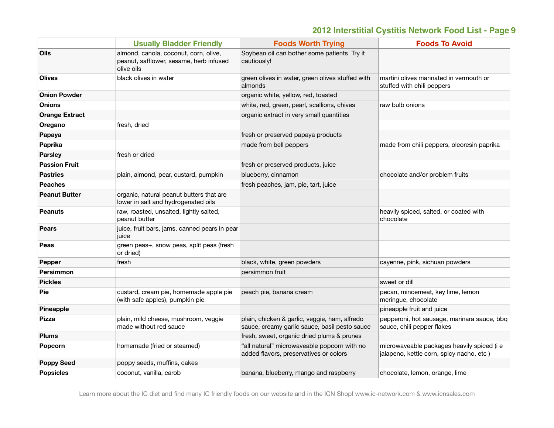|                       | <b>Usually Bladder Friendly</b>                                                                | <b>Foods Worth Trying</b>                                                                      | <b>Foods To Avoid</b>                                                                  |
|-----------------------|------------------------------------------------------------------------------------------------|------------------------------------------------------------------------------------------------|----------------------------------------------------------------------------------------|
| Oils                  | almond, canola, coconut, corn, olive,<br>peanut, safflower, sesame, herb infused<br>olive oils | Soybean oil can bother some patients Try it<br>cautiously!                                     |                                                                                        |
| <b>Olives</b>         | black olives in water                                                                          | green olives in water, green olives stuffed with<br>almonds                                    | martini olives marinated in vermouth or<br>stuffed with chili peppers                  |
| <b>Onion Powder</b>   |                                                                                                | organic white, yellow, red, toasted                                                            |                                                                                        |
| <b>Onions</b>         |                                                                                                | white, red, green, pearl, scallions, chives                                                    | raw bulb onions                                                                        |
| <b>Orange Extract</b> |                                                                                                | organic extract in very small quantities                                                       |                                                                                        |
| Oregano               | fresh, dried                                                                                   |                                                                                                |                                                                                        |
| Papaya                |                                                                                                | fresh or preserved papaya products                                                             |                                                                                        |
| Paprika               |                                                                                                | made from bell peppers                                                                         | made from chili peppers, oleoresin paprika                                             |
| <b>Parsley</b>        | fresh or dried                                                                                 |                                                                                                |                                                                                        |
| <b>Passion Fruit</b>  |                                                                                                | fresh or preserved products, juice                                                             |                                                                                        |
| <b>Pastries</b>       | plain, almond, pear, custard, pumpkin                                                          | blueberry, cinnamon                                                                            | chocolate and/or problem fruits                                                        |
| <b>Peaches</b>        |                                                                                                | fresh peaches, jam, pie, tart, juice                                                           |                                                                                        |
| <b>Peanut Butter</b>  | organic, natural peanut butters that are<br>lower in salt and hydrogenated oils                |                                                                                                |                                                                                        |
| <b>Peanuts</b>        | raw, roasted, unsalted, lightly salted,<br>peanut butter                                       |                                                                                                | heavily spiced, salted, or coated with<br>chocolate                                    |
| <b>Pears</b>          | juice, fruit bars, jams, canned pears in pear<br>juice                                         |                                                                                                |                                                                                        |
| Peas                  | green peas+, snow peas, split peas (fresh<br>or dried)                                         |                                                                                                |                                                                                        |
| Pepper                | fresh                                                                                          | black, white, green powders                                                                    | cayenne, pink, sichuan powders                                                         |
| <b>Persimmon</b>      |                                                                                                | persimmon fruit                                                                                |                                                                                        |
| <b>Pickles</b>        |                                                                                                |                                                                                                | sweet or dill                                                                          |
| Pie                   | custard, cream pie, homemade apple pie<br>(with safe apples), pumpkin pie                      | peach pie, banana cream                                                                        | pecan, mincemeat, key lime, lemon<br>meringue, chocolate                               |
| Pineapple             |                                                                                                |                                                                                                | pineapple fruit and juice                                                              |
| Pizza                 | plain, mild cheese, mushroom, veggie<br>made without red sauce                                 | plain, chicken & garlic, veggie, ham, alfredo<br>sauce, creamy garlic sauce, basil pesto sauce | pepperoni, hot sausage, marinara sauce, bbq<br>sauce, chili pepper flakes              |
| <b>Plums</b>          |                                                                                                | fresh, sweet, organic dried plums & prunes                                                     |                                                                                        |
| Popcorn               | homemade (fried or steamed)                                                                    | "all natural" microwaveable popcorn with no<br>added flavors, preservatives or colors          | microwaveable packages heavily spiced (i e<br>jalapeno, kettle corn, spicy nacho, etc) |
| <b>Poppy Seed</b>     | poppy seeds, muffins, cakes                                                                    |                                                                                                |                                                                                        |
| <b>Popsicles</b>      | coconut, vanilla, carob                                                                        | banana, blueberry, mango and raspberry                                                         | chocolate, lemon, orange, lime                                                         |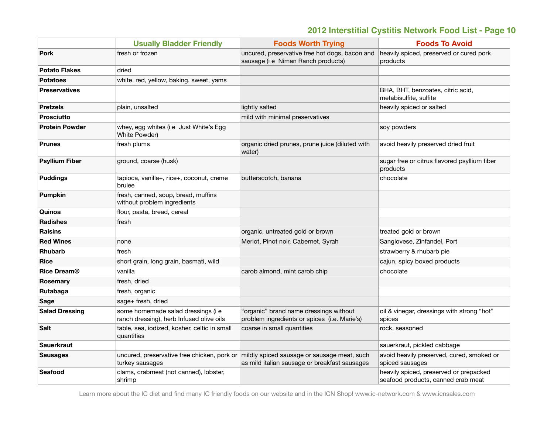|                       | <b>Usually Bladder Friendly</b>                                                | <b>Foods Worth Trying</b>                                                                                                                | <b>Foods To Avoid</b>                                                        |
|-----------------------|--------------------------------------------------------------------------------|------------------------------------------------------------------------------------------------------------------------------------------|------------------------------------------------------------------------------|
| <b>Pork</b>           | fresh or frozen                                                                | uncured, preservative free hot dogs, bacon and<br>sausage (i e Niman Ranch products)                                                     | heavily spiced, preserved or cured pork<br>products                          |
| <b>Potato Flakes</b>  | dried                                                                          |                                                                                                                                          |                                                                              |
| <b>Potatoes</b>       | white, red, yellow, baking, sweet, yams                                        |                                                                                                                                          |                                                                              |
| <b>Preservatives</b>  |                                                                                |                                                                                                                                          | BHA, BHT, benzoates, citric acid,<br>metabisulfite, sulfite                  |
| <b>Pretzels</b>       | plain, unsalted                                                                | lightly salted                                                                                                                           | heavily spiced or salted                                                     |
| <b>Prosciutto</b>     |                                                                                | mild with minimal preservatives                                                                                                          |                                                                              |
| <b>Protein Powder</b> | whey, egg whites (i e Just White's Egg<br>White Powder)                        |                                                                                                                                          | soy powders                                                                  |
| <b>Prunes</b>         | fresh plums                                                                    | organic dried prunes, prune juice (diluted with<br>water)                                                                                | avoid heavily preserved dried fruit                                          |
| <b>Psyllium Fiber</b> | ground, coarse (husk)                                                          |                                                                                                                                          | sugar free or citrus flavored psyllium fiber<br>products                     |
| <b>Puddings</b>       | tapioca, vanilla+, rice+, coconut, creme<br>brulee                             | butterscotch, banana                                                                                                                     | chocolate                                                                    |
| <b>Pumpkin</b>        | fresh, canned, soup, bread, muffins<br>without problem ingredients             |                                                                                                                                          |                                                                              |
| Quinoa                | flour, pasta, bread, cereal                                                    |                                                                                                                                          |                                                                              |
| <b>Radishes</b>       | fresh                                                                          |                                                                                                                                          |                                                                              |
| <b>Raisins</b>        |                                                                                | organic, untreated gold or brown                                                                                                         | treated gold or brown                                                        |
| <b>Red Wines</b>      | none                                                                           | Merlot, Pinot noir, Cabernet, Syrah                                                                                                      | Sangiovese, Zinfandel, Port                                                  |
| <b>Rhubarb</b>        | fresh                                                                          |                                                                                                                                          | strawberry & rhubarb pie                                                     |
| <b>Rice</b>           | short grain, long grain, basmati, wild                                         |                                                                                                                                          | cajun, spicy boxed products                                                  |
| <b>Rice Dream®</b>    | vanilla                                                                        | carob almond, mint carob chip                                                                                                            | chocolate                                                                    |
| Rosemary              | fresh, dried                                                                   |                                                                                                                                          |                                                                              |
| Rutabaga              | fresh, organic                                                                 |                                                                                                                                          |                                                                              |
| Sage                  | sage+ fresh, dried                                                             |                                                                                                                                          |                                                                              |
| <b>Salad Dressing</b> | some homemade salad dressings (i e<br>ranch dressing), herb Infused olive oils | "organic" brand name dressings without<br>problem ingredients or spices (i.e. Marie's)                                                   | oil & vinegar, dressings with strong "hot"<br>spices                         |
| <b>Salt</b>           | table, sea, iodized, kosher, celtic in small<br>quantities                     | coarse in small quantities                                                                                                               | rock, seasoned                                                               |
| <b>Sauerkraut</b>     |                                                                                |                                                                                                                                          | sauerkraut, pickled cabbage                                                  |
| <b>Sausages</b>       | turkey sausages                                                                | uncured, preservative free chicken, pork or mildly spiced sausage or sausage meat, such<br>as mild italian sausage or breakfast sausages | avoid heavily preserved, cured, smoked or<br>spiced sausages                 |
| <b>Seafood</b>        | clams, crabmeat (not canned), lobster,<br>shrimp                               |                                                                                                                                          | heavily spiced, preserved or prepacked<br>seafood products, canned crab meat |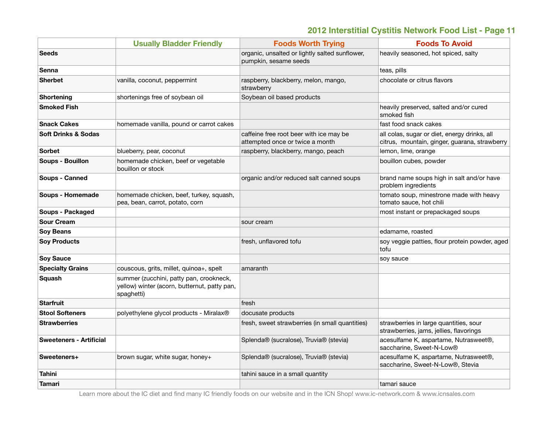|                                | <b>Usually Bladder Friendly</b>                                                                       | <b>Foods Worth Trying</b>                                                  | <b>Foods To Avoid</b>                                                                         |
|--------------------------------|-------------------------------------------------------------------------------------------------------|----------------------------------------------------------------------------|-----------------------------------------------------------------------------------------------|
| <b>Seeds</b>                   |                                                                                                       | organic, unsalted or lightly salted sunflower,<br>pumpkin, sesame seeds    | heavily seasoned, hot spiced, salty                                                           |
| Senna                          |                                                                                                       |                                                                            | teas, pills                                                                                   |
| <b>Sherbet</b>                 | vanilla, coconut, peppermint                                                                          | raspberry, blackberry, melon, mango,<br>strawberry                         | chocolate or citrus flavors                                                                   |
| Shortening                     | shortenings free of soybean oil                                                                       | Soybean oil based products                                                 |                                                                                               |
| <b>Smoked Fish</b>             |                                                                                                       |                                                                            | heavily preserved, salted and/or cured<br>smoked fish                                         |
| <b>Snack Cakes</b>             | homemade vanilla, pound or carrot cakes                                                               |                                                                            | fast food snack cakes                                                                         |
| <b>Soft Drinks &amp; Sodas</b> |                                                                                                       | caffeine free root beer with ice may be<br>attempted once or twice a month | all colas, sugar or diet, energy drinks, all<br>citrus, mountain, ginger, guarana, strawberry |
| <b>Sorbet</b>                  | blueberry, pear, coconut                                                                              | raspberry, blackberry, mango, peach                                        | lemon, lime, orange                                                                           |
| <b>Soups - Bouillon</b>        | homemade chicken, beef or vegetable<br>bouillon or stock                                              |                                                                            | bouillon cubes, powder                                                                        |
| Soups - Canned                 |                                                                                                       | organic and/or reduced salt canned soups                                   | brand name soups high in salt and/or have<br>problem ingredients                              |
| Soups - Homemade               | homemade chicken, beef, turkey, squash,<br>pea, bean, carrot, potato, corn                            |                                                                            | tomato soup, minestrone made with heavy<br>tomato sauce, hot chili                            |
| <b>Soups - Packaged</b>        |                                                                                                       |                                                                            | most instant or prepackaged soups                                                             |
| <b>Sour Cream</b>              |                                                                                                       | sour cream                                                                 |                                                                                               |
| <b>Soy Beans</b>               |                                                                                                       |                                                                            | edamame, roasted                                                                              |
| <b>Soy Products</b>            |                                                                                                       | fresh, unflavored tofu                                                     | soy veggie patties, flour protein powder, aged<br>tofu                                        |
| <b>Soy Sauce</b>               |                                                                                                       |                                                                            | soy sauce                                                                                     |
| <b>Specialty Grains</b>        | couscous, grits, millet, quinoa+, spelt                                                               | amaranth                                                                   |                                                                                               |
| Squash                         | summer (zucchini, patty pan, crookneck,<br>yellow) winter (acorn, butternut, patty pan,<br>spaghetti) |                                                                            |                                                                                               |
| <b>Starfruit</b>               |                                                                                                       | fresh                                                                      |                                                                                               |
| <b>Stool Softeners</b>         | polyethylene glycol products - Miralax®                                                               | docusate products                                                          |                                                                                               |
| <b>Strawberries</b>            |                                                                                                       | fresh, sweet strawberries (in small quantities)                            | strawberries in large quantities, sour<br>strawberries, jams, jellies, flavorings             |
| <b>Sweeteners - Artificial</b> |                                                                                                       | Splenda® (sucralose), Truvia® (stevia)                                     | acesulfame K, aspartame, Nutrasweet®,<br>saccharine, Sweet-N-Low®                             |
| Sweeteners+                    | brown sugar, white sugar, honey+                                                                      | Splenda® (sucralose), Truvia® (stevia)                                     | acesulfame K, aspartame, Nutrasweet®,<br>saccharine, Sweet-N-Low®, Stevia                     |
| Tahini                         |                                                                                                       | tahini sauce in a small quantity                                           |                                                                                               |
| Tamari                         |                                                                                                       |                                                                            | tamari sauce                                                                                  |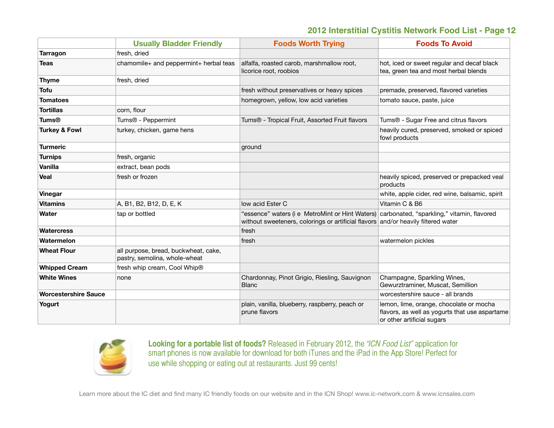|                             | <b>Usually Bladder Friendly</b>                                       | <b>Foods Worth Trying</b>                                                                                                                                                       | <b>Foods To Avoid</b>                                                                                                   |
|-----------------------------|-----------------------------------------------------------------------|---------------------------------------------------------------------------------------------------------------------------------------------------------------------------------|-------------------------------------------------------------------------------------------------------------------------|
| Tarragon                    | fresh, dried                                                          |                                                                                                                                                                                 |                                                                                                                         |
| <b>Teas</b>                 | chamomile+ and peppermint+ herbal teas                                | alfalfa, roasted carob, marshmallow root,<br>licorice root, roobios                                                                                                             | hot, iced or sweet regular and decaf black<br>tea, green tea and most herbal blends                                     |
| <b>Thyme</b>                | fresh, dried                                                          |                                                                                                                                                                                 |                                                                                                                         |
| <b>Tofu</b>                 |                                                                       | fresh without preservatives or heavy spices                                                                                                                                     | premade, preserved, flavored varieties                                                                                  |
| <b>Tomatoes</b>             |                                                                       | homegrown, yellow, low acid varieties                                                                                                                                           | tomato sauce, paste, juice                                                                                              |
| <b>Tortillas</b>            | corn, flour                                                           |                                                                                                                                                                                 |                                                                                                                         |
| <b>Tums®</b>                | Tums® - Peppermint                                                    | Tums <sup>®</sup> - Tropical Fruit, Assorted Fruit flavors                                                                                                                      | Tums® - Sugar Free and citrus flavors                                                                                   |
| <b>Turkey &amp; Fowl</b>    | turkey, chicken, game hens                                            |                                                                                                                                                                                 | heavily cured, preserved, smoked or spiced<br>fowl products                                                             |
| <b>Turmeric</b>             |                                                                       | ground                                                                                                                                                                          |                                                                                                                         |
| <b>Turnips</b>              | fresh, organic                                                        |                                                                                                                                                                                 |                                                                                                                         |
| Vanilla                     | extract, bean pods                                                    |                                                                                                                                                                                 |                                                                                                                         |
| Veal                        | fresh or frozen                                                       |                                                                                                                                                                                 | heavily spiced, preserved or prepacked veal<br>products                                                                 |
| Vinegar                     |                                                                       |                                                                                                                                                                                 | white, apple cider, red wine, balsamic, spirit                                                                          |
| <b>Vitamins</b>             | A, B1, B2, B12, D, E, K                                               | low acid Ester C                                                                                                                                                                | Vitamin C & B6                                                                                                          |
| Water                       | tap or bottled                                                        | "essence" waters (i e MetroMint or Hint Waters) carbonated, "sparkling," vitamin, flavored<br>without sweeteners, colorings or artificial flavors and/or heavily filtered water |                                                                                                                         |
| <b>Watercress</b>           |                                                                       | fresh                                                                                                                                                                           |                                                                                                                         |
| Watermelon                  |                                                                       | fresh                                                                                                                                                                           | watermelon pickles                                                                                                      |
| <b>Wheat Flour</b>          | all purpose, bread, buckwheat, cake,<br>pastry, semolina, whole-wheat |                                                                                                                                                                                 |                                                                                                                         |
| <b>Whipped Cream</b>        | fresh whip cream, Cool Whip®                                          |                                                                                                                                                                                 |                                                                                                                         |
| <b>White Wines</b>          | none                                                                  | Chardonnay, Pinot Grigio, Riesling, Sauvignon<br><b>Blanc</b>                                                                                                                   | Champagne, Sparkling Wines,<br>Gewurztraminer, Muscat, Semillion                                                        |
| <b>Worcestershire Sauce</b> |                                                                       |                                                                                                                                                                                 | worcestershire sauce - all brands                                                                                       |
| Yogurt                      |                                                                       | plain, vanilla, blueberry, raspberry, peach or<br>prune flavors                                                                                                                 | lemon, lime, orange, chocolate or mocha<br>flavors, as well as yogurts that use aspartame<br>or other artificial sugars |



**Looking for a portable list of foods?** Released in February 2012, the *"ICN Food List"* application for smart phones is now available for download for both iTunes and the iPad in the App Store! Perfect for use while shopping or eating out at restaurants. Just 99 cents!